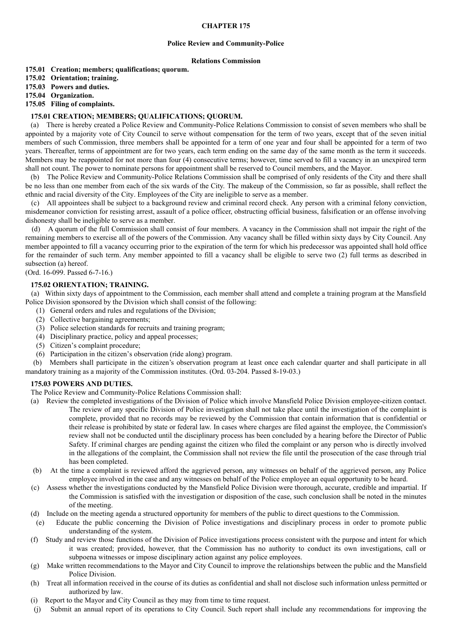## **CHAPTER 175**

## **Police Review and Community-Police**

#### **Relations Commission**

- **175.01 Creation; members; qualifications; quorum.**
- **175.02 Orientation; training.**
- **175.03 Powers and duties.**
- **175.04 Organization.**
- **175.05 Filing of complaints.**

## **175.01 CREATION; MEMBERS; QUALIFICATIONS; QUORUM.**

(a) There is hereby created a Police Review and Community-Police Relations Commission to consist of seven members who shall be appointed by a majority vote of City Council to serve without compensation for the term of two years, except that of the seven initial members of such Commission, three members shall be appointed for a term of one year and four shall be appointed for a term of two years. Thereafter, terms of appointment are for two years, each term ending on the same day of the same month as the term it succeeds. Members may be reappointed for not more than four (4) consecutive terms; however, time served to fill a vacancy in an unexpired term shall not count. The power to nominate persons for appointment shall be reserved to Council members, and the Mayor.

(b) The Police Review and Community-Police Relations Commission shall be comprised of only residents of the City and there shall be no less than one member from each of the six wards of the City. The makeup of the Commission, so far as possible, shall reflect the ethnic and racial diversity of the City. Employees of the City are ineligible to serve as a member.

(c) All appointees shall be subject to a background review and criminal record check. Any person with a criminal felony conviction, misdemeanor conviction for resisting arrest, assault of a police officer, obstructing official business, falsification or an offense involving dishonesty shall be ineligible to serve as a member.

(d) A quorum of the full Commission shall consist of four members. A vacancy in the Commission shall not impair the right of the remaining members to exercise all of the powers of the Commission. Any vacancy shall be filled within sixty days by City Council. Any member appointed to fill a vacancy occurring prior to the expiration of the term for which his predecessor was appointed shall hold office for the remainder of such term. Any member appointed to fill a vacancy shall be eligible to serve two (2) full terms as described in subsection (a) hereof.

(Ord. 16-099. Passed 6-7-16.)

# **175.02 ORIENTATION; TRAINING.**

(a) Within sixty days of appointment to the Commission, each member shall attend and complete a training program at the Mansfield Police Division sponsored by the Division which shall consist of the following:

- (1) General orders and rules and regulations of the Division;
- (2) Collective bargaining agreements;
- (3) Police selection standards for recruits and training program;
- (4) Disciplinary practice, policy and appeal processes;
- (5) Citizen's complaint procedure;
- (6) Participation in the citizen's observation (ride along) program.

(b) Members shall participate in the citizen's observation program at least once each calendar quarter and shall participate in all mandatory training as a majority of the Commission institutes. (Ord. 03-204. Passed 8-19-03.)

#### **175.03 POWERS AND DUTIES.**

The Police Review and Community-Police Relations Commission shall:

- (a) Review the completed investigations of the Division of Police which involve Mansfield Police Division employee-citizen contact. The review of any specific Division of Police investigation shall not take place until the investigation of the complaint is complete, provided that no records may be reviewed by the Commission that contain information that is confidential or their release is prohibited by state or federal law. In cases where charges are filed against the employee, the Commission's review shall not be conducted until the disciplinary process has been concluded by a hearing before the Director of Public Safety. If criminal charges are pending against the citizen who filed the complaint or any person who is directly involved in the allegations of the complaint, the Commission shall not review the file until the prosecution of the case through trial has been completed.
- (b) At the time a complaint is reviewed afford the aggrieved person, any witnesses on behalf of the aggrieved person, any Police employee involved in the case and any witnesses on behalf of the Police employee an equal opportunity to be heard.
- (c) Assess whether the investigations conducted by the Mansfield Police Division were thorough, accurate, credible and impartial. If the Commission is satisfied with the investigation or disposition of the case, such conclusion shall be noted in the minutes of the meeting.
- (d) Include on the meeting agenda a structured opportunity for members of the public to direct questions to the Commission.
- (e) Educate the public concerning the Division of Police investigations and disciplinary process in order to promote public understanding of the system.
- (f) Study and review those functions of the Division of Police investigations process consistent with the purpose and intent for which it was created; provided, however, that the Commission has no authority to conduct its own investigations, call or subpoena witnesses or impose disciplinary action against any police employees.
- (g) Make written recommendations to the Mayor and City Council to improve the relationships between the public and the Mansfield Police Division.
- (h) Treat all information received in the course of its duties as confidential and shall not disclose such information unless permitted or authorized by law.
- (i) Report to the Mayor and City Council as they may from time to time request.
- (j) Submit an annual report of its operations to City Council. Such report shall include any recommendations for improving the